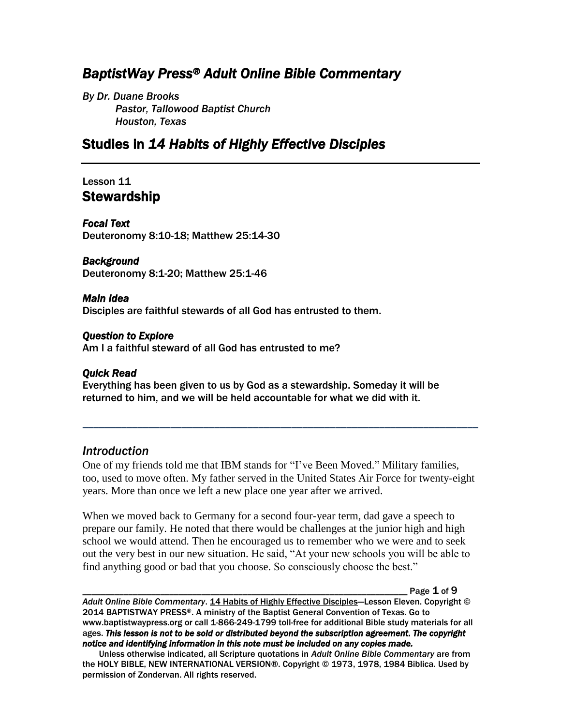# *BaptistWay Press® Adult Online Bible Commentary*

*By Dr. Duane Brooks Pastor, Tallowood Baptist Church Houston, Texas*

## Studies in *14 Habits of Highly Effective Disciples*

## Lesson 11 **Stewardship**

*Focal Text*  Deuteronomy 8:10-18; Matthew 25:14-30

#### *Background*

Deuteronomy 8:1-20; Matthew 25:1-46

#### *Main Idea*

Disciples are faithful stewards of all God has entrusted to them.

#### *Question to Explore*

Am I a faithful steward of all God has entrusted to me?

### *Quick Read*

Everything has been given to us by God as a stewardship. Someday it will be returned to him, and we will be held accountable for what we did with it.

### *Introduction*

One of my friends told me that IBM stands for "I've Been Moved." Military families, too, used to move often. My father served in the United States Air Force for twenty-eight years. More than once we left a new place one year after we arrived.

*\_\_\_\_\_\_\_\_\_\_\_\_\_\_\_\_\_\_\_\_\_\_\_\_\_\_\_\_\_\_\_\_\_\_\_\_\_\_\_\_\_\_\_\_\_\_\_\_\_\_\_\_\_\_\_\_\_\_\_\_\_\_\_\_\_\_\_\_\_\_\_\_*

When we moved back to Germany for a second four-year term, dad gave a speech to prepare our family. He noted that there would be challenges at the junior high and high school we would attend. Then he encouraged us to remember who we were and to seek out the very best in our new situation. He said, "At your new schools you will be able to find anything good or bad that you choose. So consciously choose the best."

Page  $1$  of  $9$ 

*Adult Online Bible Commentary*. 14 Habits of Highly Effective Disciples—Lesson Eleven. Copyright © 2014 BAPTISTWAY PRESS®. A ministry of the Baptist General Convention of Texas. Go to www.baptistwaypress.org or call 1-866-249-1799 toll-free for additional Bible study materials for all ages. *This lesson is not to be sold or distributed beyond the subscription agreement. The copyright notice and identifying information in this note must be included on any copies made.* 

Unless otherwise indicated, all Scripture quotations in *Adult Online Bible Commentary* are from the HOLY BIBLE, NEW INTERNATIONAL VERSION®. Copyright © 1973, 1978, 1984 Biblica. Used by permission of Zondervan. All rights reserved.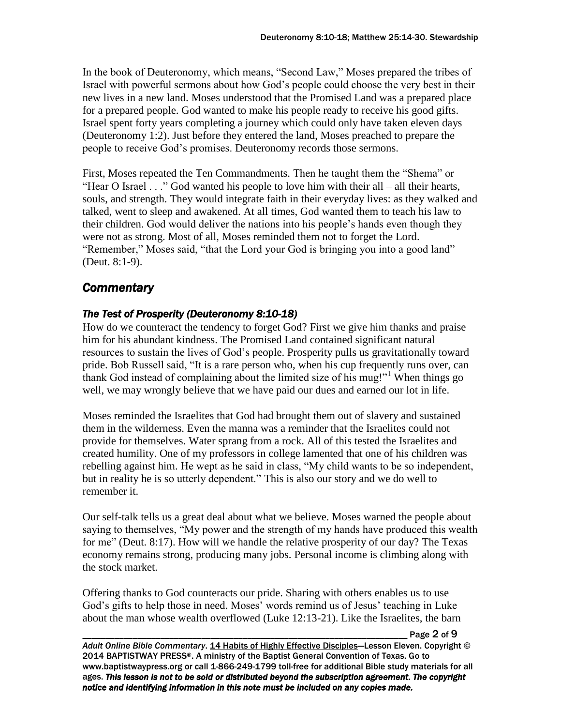In the book of Deuteronomy, which means, "Second Law," Moses prepared the tribes of Israel with powerful sermons about how God's people could choose the very best in their new lives in a new land. Moses understood that the Promised Land was a prepared place for a prepared people. God wanted to make his people ready to receive his good gifts. Israel spent forty years completing a journey which could only have taken eleven days (Deuteronomy 1:2). Just before they entered the land, Moses preached to prepare the people to receive God's promises. Deuteronomy records those sermons.

First, Moses repeated the Ten Commandments. Then he taught them the "Shema" or "Hear O Israel . . ." God wanted his people to love him with their all – all their hearts, souls, and strength. They would integrate faith in their everyday lives: as they walked and talked, went to sleep and awakened. At all times, God wanted them to teach his law to their children. God would deliver the nations into his people's hands even though they were not as strong. Most of all, Moses reminded them not to forget the Lord. "Remember," Moses said, "that the Lord your God is bringing you into a good land" (Deut. 8:1-9).

## *Commentary*

## *The Test of Prosperity (Deuteronomy 8:10-18)*

How do we counteract the tendency to forget God? First we give him thanks and praise him for his abundant kindness. The Promised Land contained significant natural resources to sustain the lives of God's people. Prosperity pulls us gravitationally toward pride. Bob Russell said, "It is a rare person who, when his cup frequently runs over, can thank God instead of complaining about the limited size of his mug!"<sup>1</sup> When things go well, we may wrongly believe that we have paid our dues and earned our lot in life.

Moses reminded the Israelites that God had brought them out of slavery and sustained them in the wilderness. Even the manna was a reminder that the Israelites could not provide for themselves. Water sprang from a rock. All of this tested the Israelites and created humility. One of my professors in college lamented that one of his children was rebelling against him. He wept as he said in class, "My child wants to be so independent, but in reality he is so utterly dependent." This is also our story and we do well to remember it.

Our self-talk tells us a great deal about what we believe. Moses warned the people about saying to themselves, "My power and the strength of my hands have produced this wealth for me" (Deut. 8:17). How will we handle the relative prosperity of our day? The Texas economy remains strong, producing many jobs. Personal income is climbing along with the stock market.

Offering thanks to God counteracts our pride. Sharing with others enables us to use God's gifts to help those in need. Moses' words remind us of Jesus' teaching in Luke about the man whose wealth overflowed (Luke 12:13-21). Like the Israelites, the barn

\_\_\_\_\_\_\_\_\_\_\_\_\_\_\_\_\_\_\_\_\_\_\_\_\_\_\_\_\_\_\_\_\_\_\_\_\_\_\_\_\_\_\_\_\_\_\_\_\_\_\_\_\_\_\_\_\_\_\_\_\_\_\_\_\_\_\_\_\_\_\_ Page 2 of 9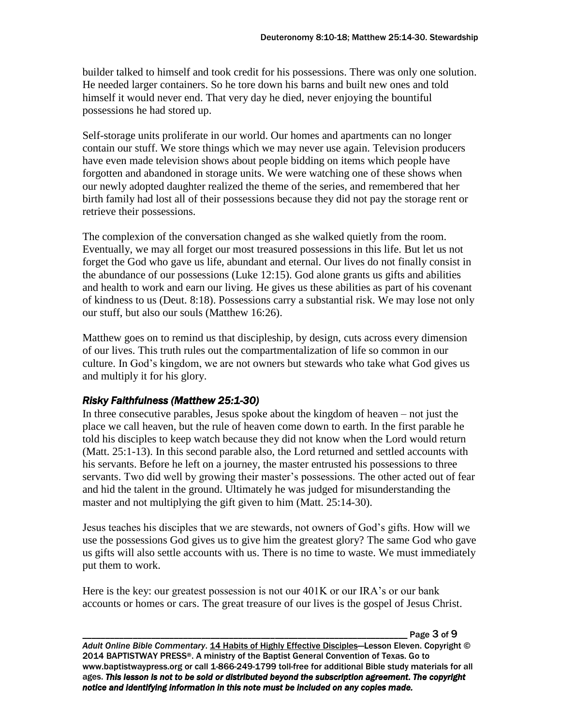builder talked to himself and took credit for his possessions. There was only one solution. He needed larger containers. So he tore down his barns and built new ones and told himself it would never end. That very day he died, never enjoying the bountiful possessions he had stored up.

Self-storage units proliferate in our world. Our homes and apartments can no longer contain our stuff. We store things which we may never use again. Television producers have even made television shows about people bidding on items which people have forgotten and abandoned in storage units. We were watching one of these shows when our newly adopted daughter realized the theme of the series, and remembered that her birth family had lost all of their possessions because they did not pay the storage rent or retrieve their possessions.

The complexion of the conversation changed as she walked quietly from the room. Eventually, we may all forget our most treasured possessions in this life. But let us not forget the God who gave us life, abundant and eternal. Our lives do not finally consist in the abundance of our possessions (Luke 12:15). God alone grants us gifts and abilities and health to work and earn our living. He gives us these abilities as part of his covenant of kindness to us (Deut. 8:18). Possessions carry a substantial risk. We may lose not only our stuff, but also our souls (Matthew 16:26).

Matthew goes on to remind us that discipleship, by design, cuts across every dimension of our lives. This truth rules out the compartmentalization of life so common in our culture. In God's kingdom, we are not owners but stewards who take what God gives us and multiply it for his glory.

### *Risky Faithfulness (Matthew 25:1-30)*

In three consecutive parables, Jesus spoke about the kingdom of heaven – not just the place we call heaven, but the rule of heaven come down to earth. In the first parable he told his disciples to keep watch because they did not know when the Lord would return (Matt. 25:1-13). In this second parable also, the Lord returned and settled accounts with his servants. Before he left on a journey, the master entrusted his possessions to three servants. Two did well by growing their master's possessions. The other acted out of fear and hid the talent in the ground. Ultimately he was judged for misunderstanding the master and not multiplying the gift given to him (Matt. 25:14-30).

Jesus teaches his disciples that we are stewards, not owners of God's gifts. How will we use the possessions God gives us to give him the greatest glory? The same God who gave us gifts will also settle accounts with us. There is no time to waste. We must immediately put them to work.

Here is the key: our greatest possession is not our 401K or our IRA's or our bank accounts or homes or cars. The great treasure of our lives is the gospel of Jesus Christ.

Page 3 of 9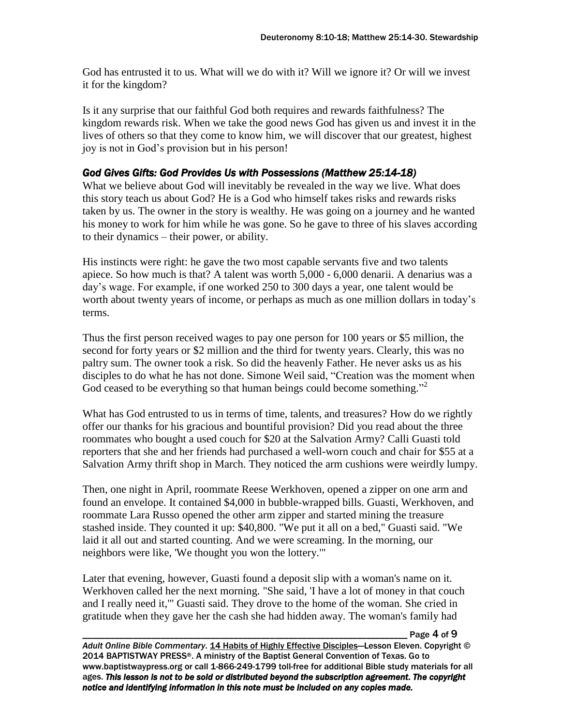God has entrusted it to us. What will we do with it? Will we ignore it? Or will we invest it for the kingdom?

Is it any surprise that our faithful God both requires and rewards faithfulness? The kingdom rewards risk. When we take the good news God has given us and invest it in the lives of others so that they come to know him, we will discover that our greatest, highest joy is not in God's provision but in his person!

### *God Gives Gifts: God Provides Us with Possessions (Matthew 25:14-18)*

What we believe about God will inevitably be revealed in the way we live. What does this story teach us about God? He is a God who himself takes risks and rewards risks taken by us. The owner in the story is wealthy. He was going on a journey and he wanted his money to work for him while he was gone. So he gave to three of his slaves according to their dynamics – their power, or ability.

His instincts were right: he gave the two most capable servants five and two talents apiece. So how much is that? A talent was worth 5,000 - 6,000 denarii. A denarius was a day's wage. For example, if one worked 250 to 300 days a year, one talent would be worth about twenty years of income, or perhaps as much as one million dollars in today's terms.

Thus the first person received wages to pay one person for 100 years or \$5 million, the second for forty years or \$2 million and the third for twenty years. Clearly, this was no paltry sum. The owner took a risk. So did the heavenly Father. He never asks us as his disciples to do what he has not done. Simone Weil said, "Creation was the moment when God ceased to be everything so that human beings could become something."<sup>2</sup>

What has God entrusted to us in terms of time, talents, and treasures? How do we rightly offer our thanks for his gracious and bountiful provision? Did you read about the three roommates who bought a used couch for \$20 at the Salvation Army? Calli Guasti told reporters that she and her friends had purchased a well-worn couch and chair for \$55 at a Salvation Army thrift shop in March. They noticed the arm cushions were weirdly lumpy.

Then, one night in April, roommate Reese Werkhoven, opened a zipper on one arm and found an envelope. It contained \$4,000 in bubble-wrapped bills. Guasti, Werkhoven, and roommate Lara Russo opened the other arm zipper and started mining the treasure stashed inside. They counted it up: \$40,800. "We put it all on a bed," Guasti said. "We laid it all out and started counting. And we were screaming. In the morning, our neighbors were like, 'We thought you won the lottery.'"

Later that evening, however, Guasti found a deposit slip with a woman's name on it. Werkhoven called her the next morning. "She said, 'I have a lot of money in that couch and I really need it,'" Guasti said. They drove to the home of the woman. She cried in gratitude when they gave her the cash she had hidden away. The woman's family had

Page 4 of 9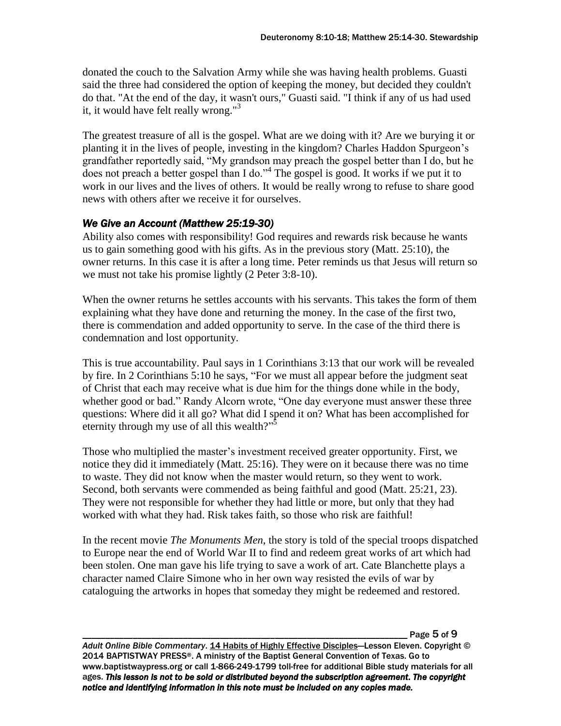donated the couch to the Salvation Army while she was having health problems. Guasti said the three had considered the option of keeping the money, but decided they couldn't do that. "At the end of the day, it wasn't ours," Guasti said. "I think if any of us had used it, it would have felt really wrong."<sup>3</sup>

The greatest treasure of all is the gospel. What are we doing with it? Are we burying it or planting it in the lives of people, investing in the kingdom? Charles Haddon Spurgeon's grandfather reportedly said, "My grandson may preach the gospel better than I do, but he does not preach a better gospel than I do."<sup>4</sup> The gospel is good. It works if we put it to work in our lives and the lives of others. It would be really wrong to refuse to share good news with others after we receive it for ourselves.

### *We Give an Account (Matthew 25:19-30)*

Ability also comes with responsibility! God requires and rewards risk because he wants us to gain something good with his gifts. As in the previous story (Matt. 25:10), the owner returns. In this case it is after a long time. Peter reminds us that Jesus will return so we must not take his promise lightly (2 Peter 3:8-10).

When the owner returns he settles accounts with his servants. This takes the form of them explaining what they have done and returning the money. In the case of the first two, there is commendation and added opportunity to serve. In the case of the third there is condemnation and lost opportunity.

This is true accountability. Paul says in 1 Corinthians 3:13 that our work will be revealed by fire. In 2 Corinthians 5:10 he says, "For we must all appear before the judgment seat of Christ that each may receive what is due him for the things done while in the body, whether good or bad." Randy Alcorn wrote, "One day everyone must answer these three questions: Where did it all go? What did I spend it on? What has been accomplished for eternity through my use of all this wealth?"<sup>5</sup>

Those who multiplied the master's investment received greater opportunity. First, we notice they did it immediately (Matt. 25:16). They were on it because there was no time to waste. They did not know when the master would return, so they went to work. Second, both servants were commended as being faithful and good (Matt. 25:21, 23). They were not responsible for whether they had little or more, but only that they had worked with what they had. Risk takes faith, so those who risk are faithful!

In the recent movie *The Monuments Men*, the story is told of the special troops dispatched to Europe near the end of World War II to find and redeem great works of art which had been stolen. One man gave his life trying to save a work of art. Cate Blanchette plays a character named Claire Simone who in her own way resisted the evils of war by cataloguing the artworks in hopes that someday they might be redeemed and restored.

Page 5 of 9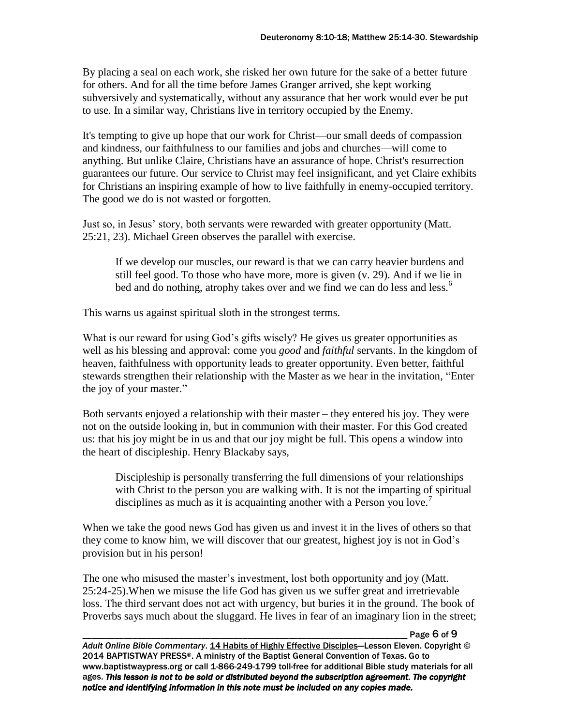By placing a seal on each work, she risked her own future for the sake of a better future for others. And for all the time before James Granger arrived, she kept working subversively and systematically, without any assurance that her work would ever be put to use. In a similar way, Christians live in territory occupied by the Enemy.

It's tempting to give up hope that our work for Christ—our small deeds of compassion and kindness, our faithfulness to our families and jobs and churches—will come to anything. But unlike Claire, Christians have an assurance of hope. Christ's resurrection guarantees our future. Our service to Christ may feel insignificant, and yet Claire exhibits for Christians an inspiring example of how to live faithfully in enemy-occupied territory. The good we do is not wasted or forgotten.

Just so, in Jesus' story, both servants were rewarded with greater opportunity (Matt. 25:21, 23). Michael Green observes the parallel with exercise.

If we develop our muscles, our reward is that we can carry heavier burdens and still feel good. To those who have more, more is given (v. 29). And if we lie in bed and do nothing, atrophy takes over and we find we can do less and less.<sup>6</sup>

This warns us against spiritual sloth in the strongest terms.

What is our reward for using God's gifts wisely? He gives us greater opportunities as well as his blessing and approval: come you *good* and *faithful* servants. In the kingdom of heaven, faithfulness with opportunity leads to greater opportunity. Even better, faithful stewards strengthen their relationship with the Master as we hear in the invitation, "Enter the joy of your master."

Both servants enjoyed a relationship with their master – they entered his joy. They were not on the outside looking in, but in communion with their master. For this God created us: that his joy might be in us and that our joy might be full. This opens a window into the heart of discipleship. Henry Blackaby says,

Discipleship is personally transferring the full dimensions of your relationships with Christ to the person you are walking with. It is not the imparting of spiritual disciplines as much as it is acquainting another with a Person you love.<sup>7</sup>

When we take the good news God has given us and invest it in the lives of others so that they come to know him, we will discover that our greatest, highest joy is not in God's provision but in his person!

The one who misused the master's investment, lost both opportunity and joy (Matt. 25:24-25).When we misuse the life God has given us we suffer great and irretrievable loss. The third servant does not act with urgency, but buries it in the ground. The book of Proverbs says much about the sluggard. He lives in fear of an imaginary lion in the street;

\_\_\_\_\_\_\_\_\_\_\_\_\_\_\_\_\_\_\_\_\_\_\_\_\_\_\_\_\_\_\_\_\_\_\_\_\_\_\_\_\_\_\_\_\_\_\_\_\_\_\_\_\_\_\_\_\_\_\_\_\_\_\_\_\_\_\_\_\_\_\_ Page 6 of 9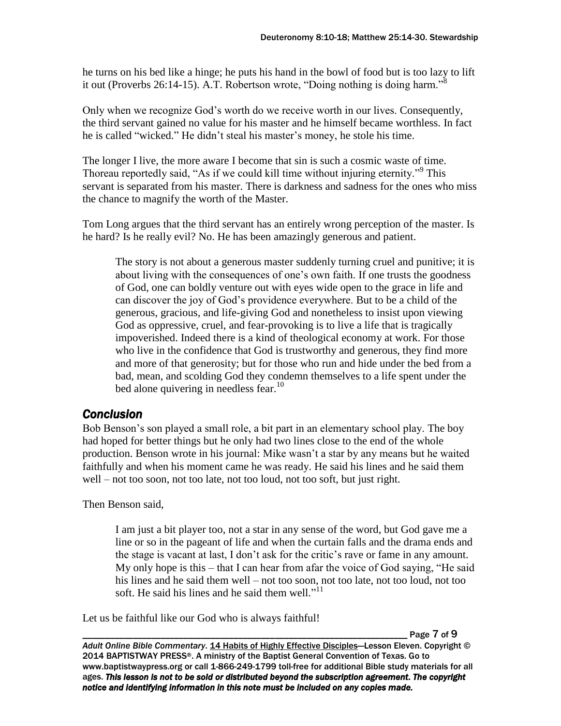he turns on his bed like a hinge; he puts his hand in the bowl of food but is too lazy to lift it out (Proverbs 26:14-15). A.T. Robertson wrote, "Doing nothing is doing harm."<sup>8</sup>

Only when we recognize God's worth do we receive worth in our lives. Consequently, the third servant gained no value for his master and he himself became worthless. In fact he is called "wicked." He didn't steal his master's money, he stole his time.

The longer I live, the more aware I become that sin is such a cosmic waste of time. Thoreau reportedly said, "As if we could kill time without injuring eternity."<sup>9</sup> This servant is separated from his master. There is darkness and sadness for the ones who miss the chance to magnify the worth of the Master.

Tom Long argues that the third servant has an entirely wrong perception of the master. Is he hard? Is he really evil? No. He has been amazingly generous and patient.

The story is not about a generous master suddenly turning cruel and punitive; it is about living with the consequences of one's own faith. If one trusts the goodness of God, one can boldly venture out with eyes wide open to the grace in life and can discover the joy of God's providence everywhere. But to be a child of the generous, gracious, and life-giving God and nonetheless to insist upon viewing God as oppressive, cruel, and fear-provoking is to live a life that is tragically impoverished. Indeed there is a kind of theological economy at work. For those who live in the confidence that God is trustworthy and generous, they find more and more of that generosity; but for those who run and hide under the bed from a bad, mean, and scolding God they condemn themselves to a life spent under the bed alone quivering in needless fear.<sup>10</sup>

## *Conclusion*

Bob Benson's son played a small role, a bit part in an elementary school play. The boy had hoped for better things but he only had two lines close to the end of the whole production. Benson wrote in his journal: Mike wasn't a star by any means but he waited faithfully and when his moment came he was ready. He said his lines and he said them well – not too soon, not too late, not too loud, not too soft, but just right.

Then Benson said,

I am just a bit player too, not a star in any sense of the word, but God gave me a line or so in the pageant of life and when the curtain falls and the drama ends and the stage is vacant at last, I don't ask for the critic's rave or fame in any amount. My only hope is this – that I can hear from afar the voice of God saying, "He said his lines and he said them well – not too soon, not too late, not too loud, not too soft. He said his lines and he said them well." $11$ 

Let us be faithful like our God who is always faithful!

\_\_\_\_\_\_\_\_\_\_\_\_\_\_\_\_\_\_\_\_\_\_\_\_\_\_\_\_\_\_\_\_\_\_\_\_\_\_\_\_\_\_\_\_\_\_\_\_\_\_\_\_\_\_\_\_\_\_\_\_\_\_\_\_\_\_\_\_\_\_\_ Page 7 of 9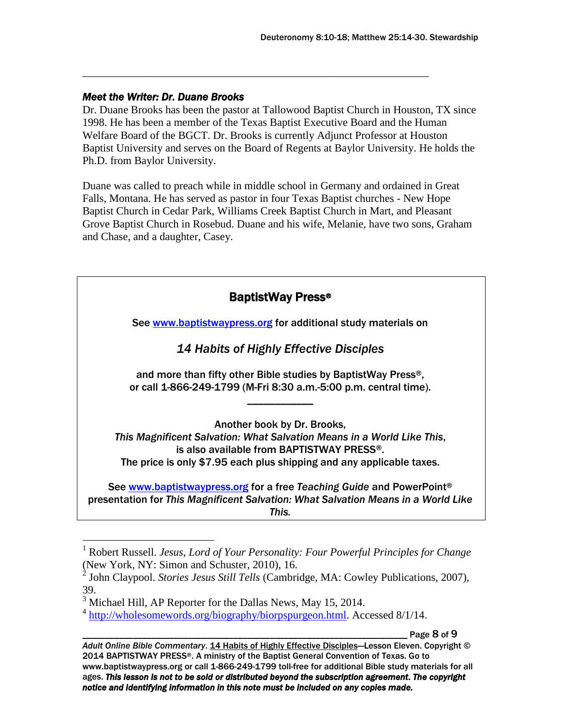### *Meet the Writer: Dr. Duane Brooks*

Dr. Duane Brooks has been the pastor at Tallowood Baptist Church in Houston, TX since 1998. He has been a member of the Texas Baptist Executive Board and the Human Welfare Board of the BGCT. Dr. Brooks is currently Adjunct Professor at Houston Baptist University and serves on the Board of Regents at Baylor University. He holds the Ph.D. from Baylor University.

\_\_\_\_\_\_\_\_\_\_\_\_\_\_\_\_\_\_\_\_\_\_\_\_\_\_\_\_\_\_\_\_\_\_\_\_\_\_\_\_\_\_\_\_\_\_\_\_\_\_\_\_\_\_\_\_\_\_\_\_\_\_\_

Duane was called to preach while in middle school in Germany and ordained in Great Falls, Montana. He has served as pastor in four Texas Baptist churches - New Hope Baptist Church in Cedar Park, Williams Creek Baptist Church in Mart, and Pleasant Grove Baptist Church in Rosebud. Duane and his wife, Melanie, have two sons, Graham and Chase, and a daughter, Casey.

| <b>BaptistWay Press®</b> |                                                                                                                                                                     |
|--------------------------|---------------------------------------------------------------------------------------------------------------------------------------------------------------------|
|                          | See www.baptistwaypress.org for additional study materials on                                                                                                       |
|                          | <b>14 Habits of Highly Effective Disciples</b>                                                                                                                      |
|                          | and more than fifty other Bible studies by BaptistWay Press <sup>®</sup> ,<br>or call 1-866-249-1799 (M-Fri 8:30 a.m.-5:00 p.m. central time).                      |
|                          | Another book by Dr. Brooks,                                                                                                                                         |
|                          | This Magnificent Salvation: What Salvation Means in a World Like This,<br>is also available from BAPTISTWAY PRESS®.                                                 |
|                          | The price is only \$7.95 each plus shipping and any applicable taxes.                                                                                               |
|                          | See www.baptistwaypress.org for a free Teaching Guide and PowerPoint®<br>presentation for This Magnificent Salvation: What Salvation Means in a World Like<br>This. |

 $\overline{a}$ 

Page 8 of 9

<sup>1</sup> Robert Russell. *Jesus, Lord of Your Personality: Four Powerful Principles for Change*

<sup>(</sup>New York, NY: Simon and Schuster, 2010), 16. 2 John Claypool. *Stories Jesus Still Tells* (Cambridge, MA: Cowley Publications, 2007), 39.

<sup>&</sup>lt;sup>3</sup> Michael Hill, AP Reporter for the Dallas News, May 15, 2014.

<sup>&</sup>lt;sup>4</sup> [http://wholesomewords.org/biography/biorpspurgeon.html.](http://wholesomewords.org/biography/biorpspurgeon.html) Accessed 8/1/14.

Adult Online Bible Commentary. 14 Habits of Highly Effective Disciples-Lesson Eleven. Copyright © 2014 BAPTISTWAY PRESS®. A ministry of the Baptist General Convention of Texas. Go to www.baptistwaypress.org or call 1-866-249-1799 toll-free for additional Bible study materials for all ages. *This lesson is not to be sold or distributed beyond the subscription agreement. The copyright notice and identifying information in this note must be included on any copies made.*